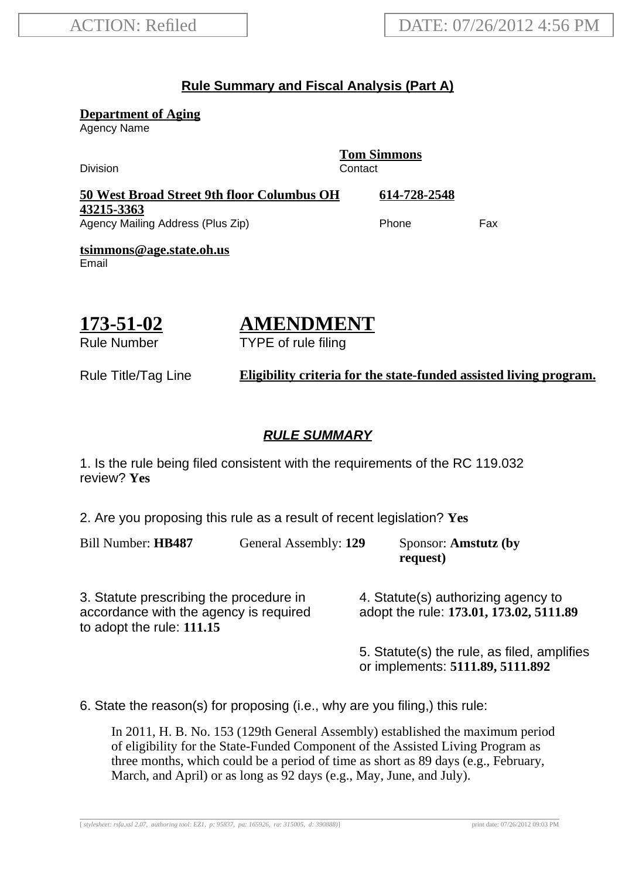## **Rule Summary and Fiscal Analysis (Part A)**

**Department of Aging**

Agency Name

**Tom Simmons** Division Contact **50 West Broad Street 9th floor Columbus OH 43215-3363 614-728-2548** Agency Mailing Address (Plus Zip) example and the Phone Fax **tsimmons@age.state.oh.us** Email

**173-51-02** Rule Number

# **AMENDMENT**

TYPE of rule filing

Rule Title/Tag Line **Eligibility criteria for the state-funded assisted living program.**

#### **RULE SUMMARY**

1. Is the rule being filed consistent with the requirements of the RC 119.032 review? **Yes**

2. Are you proposing this rule as a result of recent legislation? **Yes**

Bill Number: **HB487** General Assembly: **129** Sponsor: **Amstutz (by**

**request)**

3. Statute prescribing the procedure in accordance with the agency is required to adopt the rule: **111.15**

4. Statute(s) authorizing agency to adopt the rule: **173.01, 173.02, 5111.89**

5. Statute(s) the rule, as filed, amplifies or implements: **5111.89, 5111.892**

6. State the reason(s) for proposing (i.e., why are you filing,) this rule:

In 2011, H. B. No. 153 (129th General Assembly) established the maximum period of eligibility for the State-Funded Component of the Assisted Living Program as three months, which could be a period of time as short as 89 days (e.g., February, March, and April) or as long as 92 days (e.g., May, June, and July).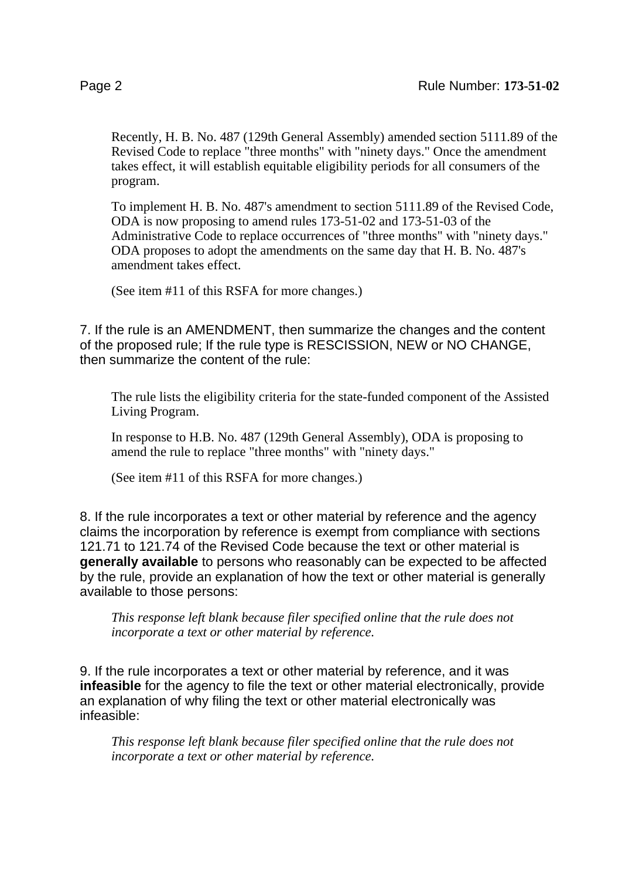Recently, H. B. No. 487 (129th General Assembly) amended section 5111.89 of the Revised Code to replace "three months" with "ninety days." Once the amendment takes effect, it will establish equitable eligibility periods for all consumers of the program.

To implement H. B. No. 487's amendment to section 5111.89 of the Revised Code, ODA is now proposing to amend rules 173-51-02 and 173-51-03 of the Administrative Code to replace occurrences of "three months" with "ninety days." ODA proposes to adopt the amendments on the same day that H. B. No. 487's amendment takes effect.

(See item #11 of this RSFA for more changes.)

7. If the rule is an AMENDMENT, then summarize the changes and the content of the proposed rule; If the rule type is RESCISSION, NEW or NO CHANGE, then summarize the content of the rule:

The rule lists the eligibility criteria for the state-funded component of the Assisted Living Program.

In response to H.B. No. 487 (129th General Assembly), ODA is proposing to amend the rule to replace "three months" with "ninety days."

(See item #11 of this RSFA for more changes.)

8. If the rule incorporates a text or other material by reference and the agency claims the incorporation by reference is exempt from compliance with sections 121.71 to 121.74 of the Revised Code because the text or other material is **generally available** to persons who reasonably can be expected to be affected by the rule, provide an explanation of how the text or other material is generally available to those persons:

*This response left blank because filer specified online that the rule does not incorporate a text or other material by reference.*

9. If the rule incorporates a text or other material by reference, and it was **infeasible** for the agency to file the text or other material electronically, provide an explanation of why filing the text or other material electronically was infeasible:

*This response left blank because filer specified online that the rule does not incorporate a text or other material by reference.*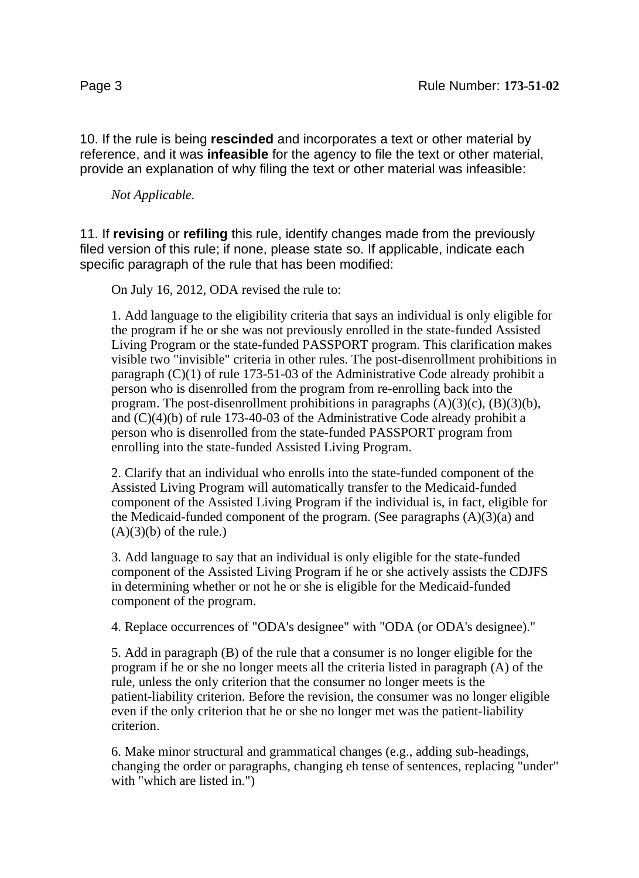10. If the rule is being **rescinded** and incorporates a text or other material by reference, and it was **infeasible** for the agency to file the text or other material, provide an explanation of why filing the text or other material was infeasible:

*Not Applicable.*

11. If **revising** or **refiling** this rule, identify changes made from the previously filed version of this rule; if none, please state so. If applicable, indicate each specific paragraph of the rule that has been modified:

On July 16, 2012, ODA revised the rule to:

1. Add language to the eligibility criteria that says an individual is only eligible for the program if he or she was not previously enrolled in the state-funded Assisted Living Program or the state-funded PASSPORT program. This clarification makes visible two "invisible" criteria in other rules. The post-disenrollment prohibitions in paragraph (C)(1) of rule 173-51-03 of the Administrative Code already prohibit a person who is disenrolled from the program from re-enrolling back into the program. The post-disenrollment prohibitions in paragraphs  $(A)(3)(c)$ ,  $(B)(3)(b)$ , and  $(C)(4)(b)$  of rule 173-40-03 of the Administrative Code already prohibit a person who is disenrolled from the state-funded PASSPORT program from enrolling into the state-funded Assisted Living Program.

2. Clarify that an individual who enrolls into the state-funded component of the Assisted Living Program will automatically transfer to the Medicaid-funded component of the Assisted Living Program if the individual is, in fact, eligible for the Medicaid-funded component of the program. (See paragraphs  $(A)(3)(a)$  and  $(A)(3)(b)$  of the rule.)

3. Add language to say that an individual is only eligible for the state-funded component of the Assisted Living Program if he or she actively assists the CDJFS in determining whether or not he or she is eligible for the Medicaid-funded component of the program.

4. Replace occurrences of "ODA's designee" with "ODA (or ODA's designee)."

5. Add in paragraph (B) of the rule that a consumer is no longer eligible for the program if he or she no longer meets all the criteria listed in paragraph (A) of the rule, unless the only criterion that the consumer no longer meets is the patient-liability criterion. Before the revision, the consumer was no longer eligible even if the only criterion that he or she no longer met was the patient-liability criterion.

6. Make minor structural and grammatical changes (e.g., adding sub-headings, changing the order or paragraphs, changing eh tense of sentences, replacing "under" with "which are listed in.")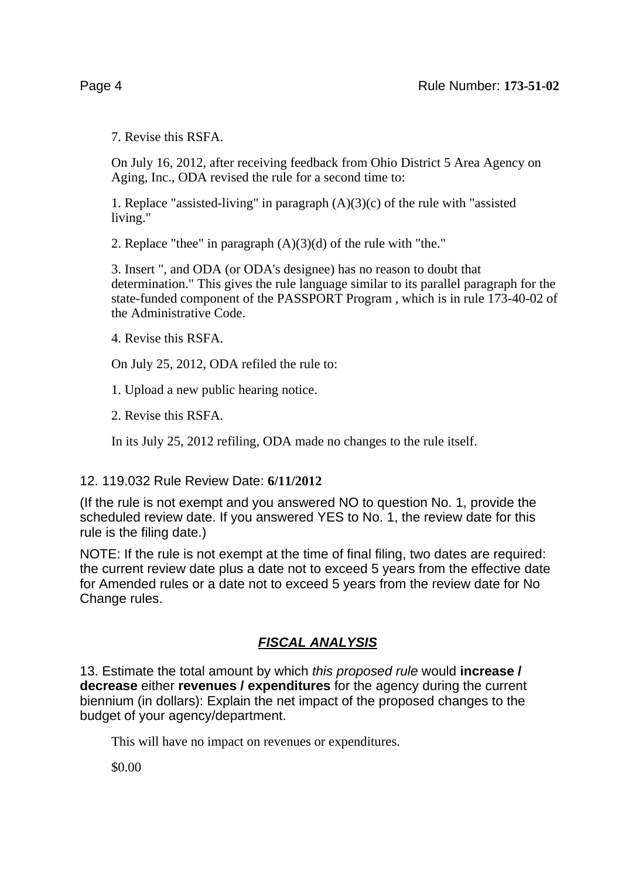7. Revise this RSFA.

On July 16, 2012, after receiving feedback from Ohio District 5 Area Agency on Aging, Inc., ODA revised the rule for a second time to:

1. Replace "assisted-living" in paragraph  $(A)(3)(c)$  of the rule with "assisted" living."

2. Replace "thee" in paragraph (A)(3)(d) of the rule with "the."

3. Insert ", and ODA (or ODA's designee) has no reason to doubt that determination." This gives the rule language similar to its parallel paragraph for the state-funded component of the PASSPORT Program , which is in rule 173-40-02 of the Administrative Code.

4. Revise this RSFA.

On July 25, 2012, ODA refiled the rule to:

1. Upload a new public hearing notice.

2. Revise this RSFA.

In its July 25, 2012 refiling, ODA made no changes to the rule itself.

### 12. 119.032 Rule Review Date: **6/11/2012**

(If the rule is not exempt and you answered NO to question No. 1, provide the scheduled review date. If you answered YES to No. 1, the review date for this rule is the filing date.)

NOTE: If the rule is not exempt at the time of final filing, two dates are required: the current review date plus a date not to exceed 5 years from the effective date for Amended rules or a date not to exceed 5 years from the review date for No Change rules.

## **FISCAL ANALYSIS**

13. Estimate the total amount by which this proposed rule would **increase / decrease** either **revenues / expenditures** for the agency during the current biennium (in dollars): Explain the net impact of the proposed changes to the budget of your agency/department.

This will have no impact on revenues or expenditures.

\$0.00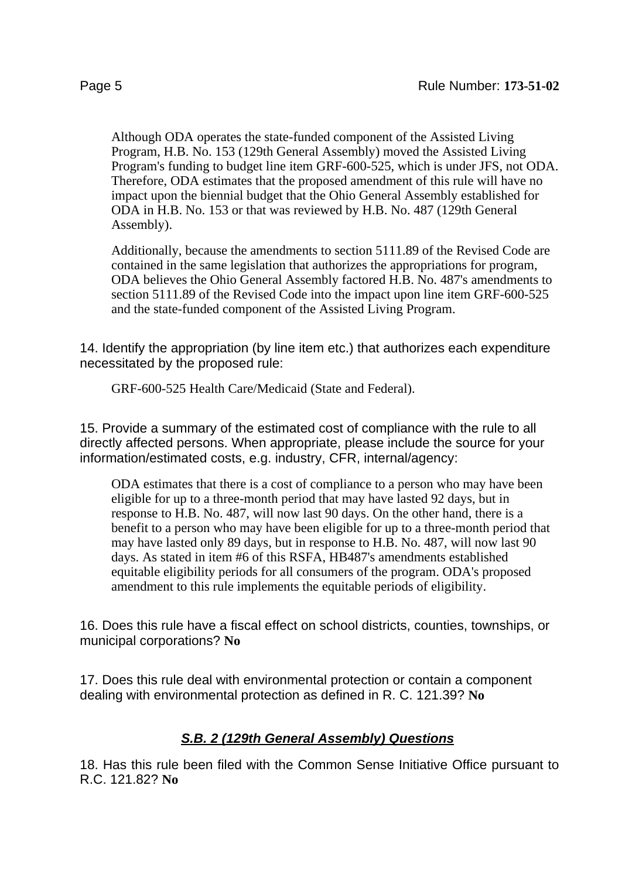Although ODA operates the state-funded component of the Assisted Living Program, H.B. No. 153 (129th General Assembly) moved the Assisted Living Program's funding to budget line item GRF-600-525, which is under JFS, not ODA. Therefore, ODA estimates that the proposed amendment of this rule will have no impact upon the biennial budget that the Ohio General Assembly established for ODA in H.B. No. 153 or that was reviewed by H.B. No. 487 (129th General Assembly).

Additionally, because the amendments to section 5111.89 of the Revised Code are contained in the same legislation that authorizes the appropriations for program, ODA believes the Ohio General Assembly factored H.B. No. 487's amendments to section 5111.89 of the Revised Code into the impact upon line item GRF-600-525 and the state-funded component of the Assisted Living Program.

14. Identify the appropriation (by line item etc.) that authorizes each expenditure necessitated by the proposed rule:

GRF-600-525 Health Care/Medicaid (State and Federal).

15. Provide a summary of the estimated cost of compliance with the rule to all directly affected persons. When appropriate, please include the source for your information/estimated costs, e.g. industry, CFR, internal/agency:

ODA estimates that there is a cost of compliance to a person who may have been eligible for up to a three-month period that may have lasted 92 days, but in response to H.B. No. 487, will now last 90 days. On the other hand, there is a benefit to a person who may have been eligible for up to a three-month period that may have lasted only 89 days, but in response to H.B. No. 487, will now last 90 days. As stated in item #6 of this RSFA, HB487's amendments established equitable eligibility periods for all consumers of the program. ODA's proposed amendment to this rule implements the equitable periods of eligibility.

16. Does this rule have a fiscal effect on school districts, counties, townships, or municipal corporations? **No**

17. Does this rule deal with environmental protection or contain a component dealing with environmental protection as defined in R. C. 121.39? **No**

## **S.B. 2 (129th General Assembly) Questions**

18. Has this rule been filed with the Common Sense Initiative Office pursuant to R.C. 121.82? **No**